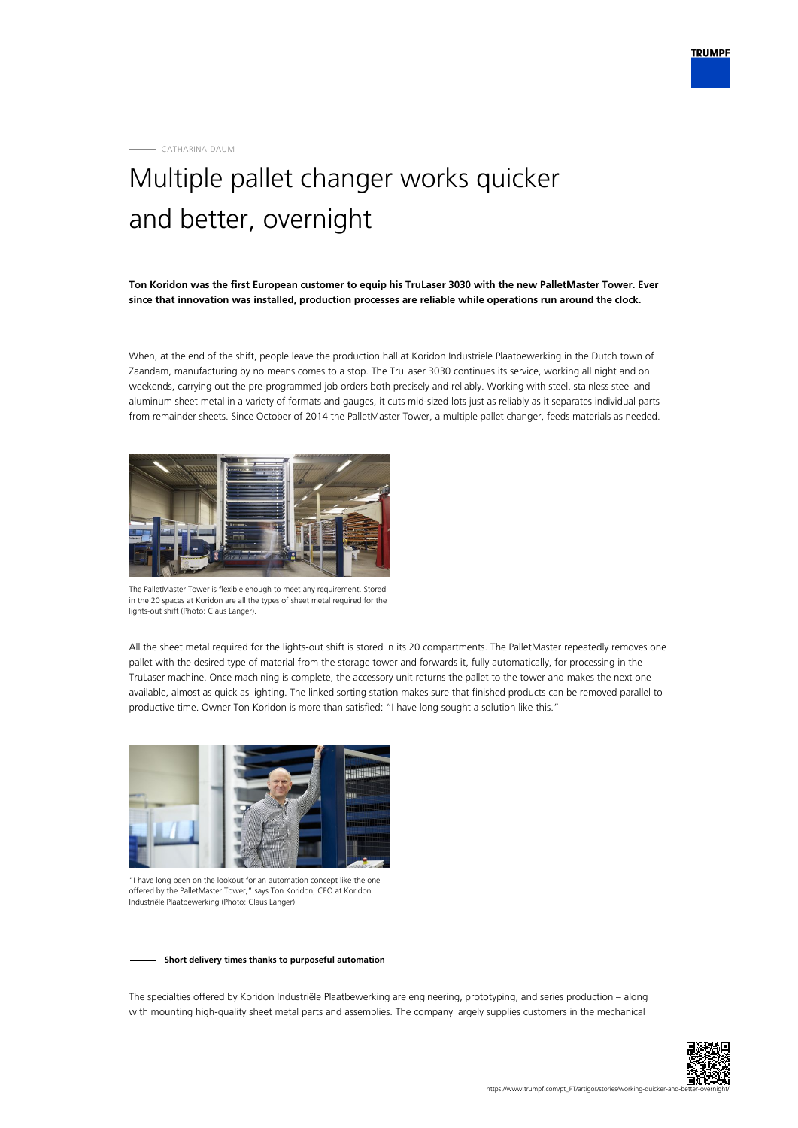CATHARINA DAUM

## Multiple pallet changer works quicker and better, overnight

**Ton Koridon was the first European customer to equip his TruLaser 3030 with the new PalletMaster Tower. Ever since that innovation was installed, production processes are reliable while operations run around the clock.**

When, at the end of the shift, people leave the production hall at Koridon Industriële Plaatbewerking in the Dutch town of Zaandam, manufacturing by no means comes to a stop. The TruLaser 3030 continues its service, working all night and on weekends, carrying out the pre-programmed job orders both precisely and reliably. Working with steel, stainless steel and aluminum sheet metal in a variety of formats and gauges, it cuts mid-sized lots just as reliably as it separates individual parts from remainder sheets. Since October of 2014 the PalletMaster Tower, a multiple pallet changer, feeds materials as needed.



The PalletMaster Tower is flexible enough to meet any requirement. Stored in the 20 spaces at Koridon are all the types of sheet metal required for the lights-out shift (Photo: Claus Langer).

All the sheet metal required for the lights-out shift is stored in its 20 compartments. The PalletMaster repeatedly removes one pallet with the desired type of material from the storage tower and forwards it, fully automatically, for processing in the TruLaser machine. Once machining is complete, the accessory unit returns the pallet to the tower and makes the next one available, almost as quick as lighting. The linked sorting station makes sure that finished products can be removed parallel to productive time. Owner Ton Koridon is more than satisfied: "I have long sought a solution like this."



"I have long been on the lookout for an automation concept like the one offered by the PalletMaster Tower," says Ton Koridon, CEO at Koridon Industriële Plaatbewerking (Photo: Claus Langer).

## **Short delivery times thanks to purposeful automation**

The specialties offered by Koridon Industriële Plaatbewerking are engineering, prototyping, and series production – along with mounting high-quality sheet metal parts and assemblies. The company largely supplies customers in the mechanical

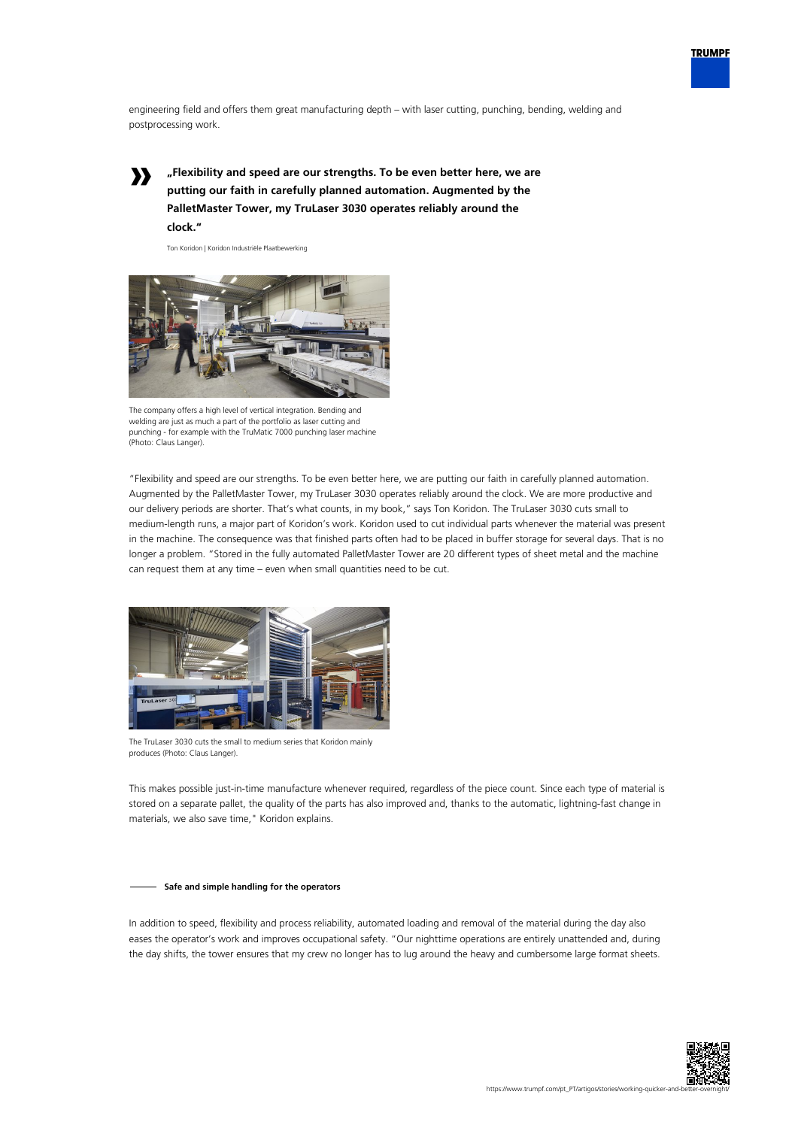

engineering field and offers them great manufacturing depth – with laser cutting, punching, bending, welding and postprocessing work.

**»**

**"Flexibility and speed are our strengths. To be even better here, we are putting our faith in carefully planned automation. Augmented by the PalletMaster Tower, my TruLaser 3030 operates reliably around the clock."**

Ton Koridon | Koridon Industriële Plaatbewerking



The company offers a high level of vertical integration. Bending and welding are just as much a part of the portfolio as laser cutting and punching - for example with the TruMatic 7000 punching laser machine (Photo: Claus Langer).

"Flexibility and speed are our strengths. To be even better here, we are putting our faith in carefully planned automation. Augmented by the PalletMaster Tower, my TruLaser 3030 operates reliably around the clock. We are more productive and our delivery periods are shorter. That's what counts, in my book," says Ton Koridon. The TruLaser 3030 cuts small to medium-length runs, a major part of Koridon's work. Koridon used to cut individual parts whenever the material was present in the machine. The consequence was that finished parts often had to be placed in buffer storage for several days. That is no longer a problem. "Stored in the fully automated PalletMaster Tower are 20 different types of sheet metal and the machine can request them at any time – even when small quantities need to be cut.



The TruLaser 3030 cuts the small to medium series that Koridon mainly produces (Photo: Claus Langer).

This makes possible just-in-time manufacture whenever required, regardless of the piece count. Since each type of material is stored on a separate pallet, the quality of the parts has also improved and, thanks to the automatic, lightning-fast change in materials, we also save time," Koridon explains.

## **Safe and simple handling for the operators**

In addition to speed, flexibility and process reliability, automated loading and removal of the material during the day also eases the operator's work and improves occupational safety. "Our nighttime operations are entirely unattended and, during the day shifts, the tower ensures that my crew no longer has to lug around the heavy and cumbersome large format sheets.